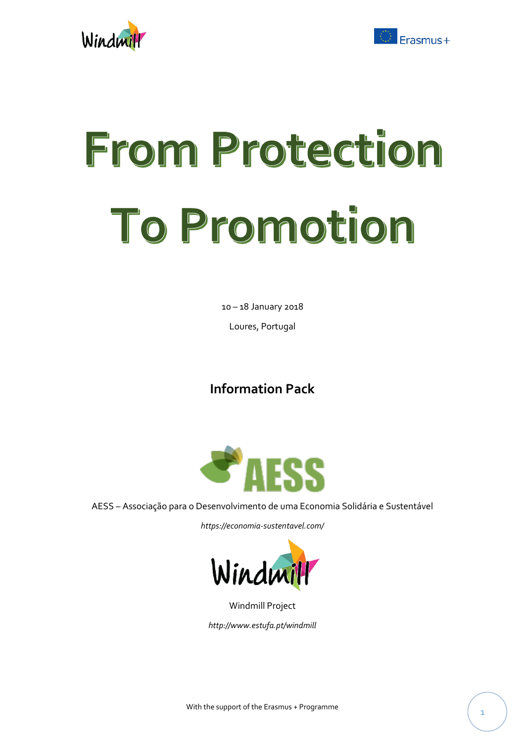



# From Protection To Promotion

10 – 18 January 2018

Loures, Portugal

# **Information Pack**



AESS – Associação para o Desenvolvimento de uma Economia Solidária e Sustentável

*https://economia-sustentavel.com/*



Windmill Project

*http://www.estufa.pt/windmill*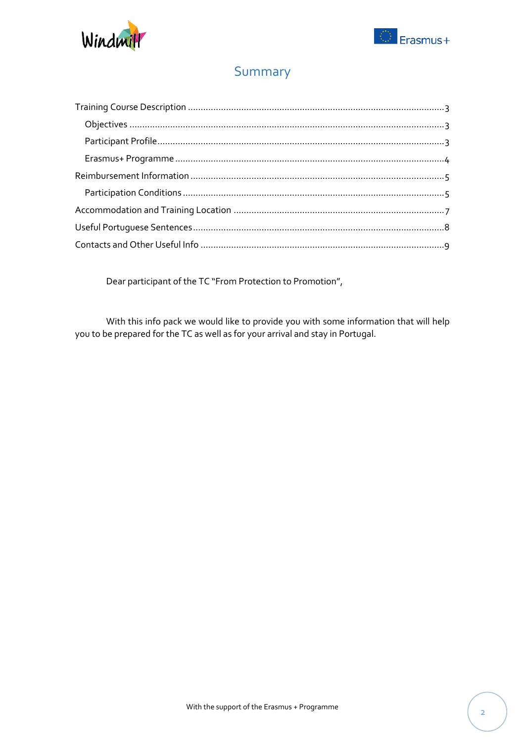



## Summary

Dear participant of the TC "From Protection to Promotion",

With this info pack we would like to provide you with some information that will help you to be prepared for the TC as well as for your arrival and stay in Portugal.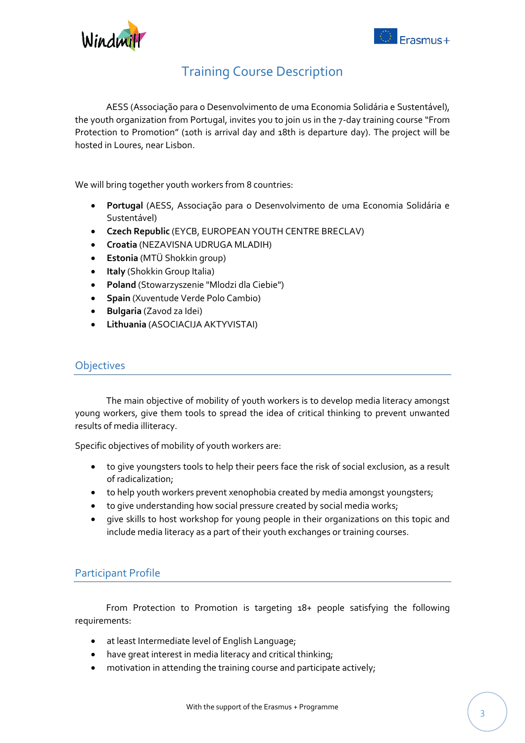

## Training Course Description

<span id="page-2-0"></span>AESS (Associação para o Desenvolvimento de uma Economia Solidária e Sustentável), the youth organization from Portugal, invites you to join us in the 7-day training course "From Protection to Promotion" (10th is arrival day and 18th is departure day). The project will be hosted in Loures, near Lisbon.

We will bring together youth workers from 8 countries:

- **Portugal** (AESS, Associação para o Desenvolvimento de uma Economia Solidária e Sustentável)
- **Czech Republic** (EYCB, EUROPEAN YOUTH CENTRE BRECLAV)
- **Croatia** (NEZAVISNA UDRUGA MLADIH)
- **Estonia** (MTÜ Shokkin group)
- **Italy** (Shokkin Group Italia)
- **Poland** (Stowarzyszenie "Mlodzi dla Ciebie")
- **Spain** (Xuventude Verde Polo Cambio)
- **Bulgaria** (Zavod za Idei)
- **Lithuania** (ASOCIACIJA AKTYVISTAI)

#### <span id="page-2-1"></span>**Objectives**

The main objective of mobility of youth workers is to develop media literacy amongst young workers, give them tools to spread the idea of critical thinking to prevent unwanted results of media illiteracy.

Specific objectives of mobility of youth workers are:

- to give youngsters tools to help their peers face the risk of social exclusion, as a result of radicalization;
- to help youth workers prevent xenophobia created by media amongst youngsters;
- to give understanding how social pressure created by social media works;
- give skills to host workshop for young people in their organizations on this topic and include media literacy as a part of their youth exchanges or training courses.

#### <span id="page-2-2"></span>Participant Profile

From Protection to Promotion is targeting 18+ people satisfying the following requirements:

- at least Intermediate level of English Language;
- have great interest in media literacy and critical thinking;
- motivation in attending the training course and participate actively;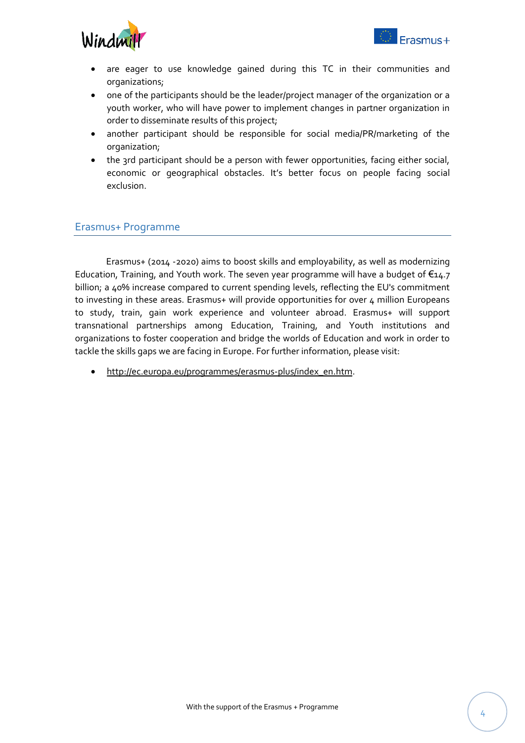

- are eager to use knowledge gained during this TC in their communities and organizations;
- one of the participants should be the leader/project manager of the organization or a youth worker, who will have power to implement changes in partner organization in order to disseminate results of this project;
- another participant should be responsible for social media/PR/marketing of the organization;
- the 3rd participant should be a person with fewer opportunities, facing either social, economic or geographical obstacles. It's better focus on people facing social exclusion.

#### <span id="page-3-0"></span>Erasmus+ Programme

Erasmus+ (2014 -2020) aims to boost skills and employability, as well as modernizing Education, Training, and Youth work. The seven year programme will have a budget of  $\epsilon_{14.7}$ billion; a 40% increase compared to current spending levels, reflecting the EU's commitment to investing in these areas. Erasmus+ will provide opportunities for over 4 million Europeans to study, train, gain work experience and volunteer abroad. Erasmus+ will support transnational partnerships among Education, Training, and Youth institutions and organizations to foster cooperation and bridge the worlds of Education and work in order to tackle the skills gaps we are facing in Europe. For further information, please visit:

http://ec.europa.eu/programmes/erasmus-plus/index\_en.htm.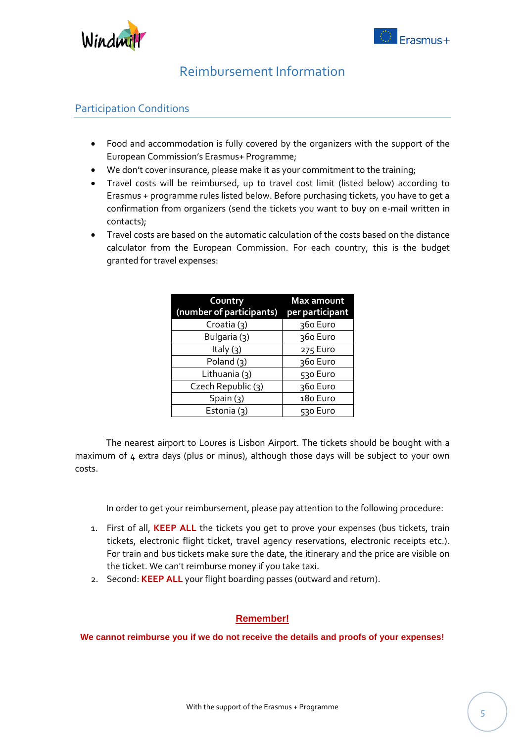

## Reimbursement Information

#### <span id="page-4-1"></span><span id="page-4-0"></span>Participation Conditions

- Food and accommodation is fully covered by the organizers with the support of the European Commission's Erasmus+ Programme;
- We don't cover insurance, please make it as your commitment to the training;
- Travel costs will be reimbursed, up to travel cost limit (listed below) according to Erasmus + programme rules listed below. Before purchasing tickets, you have to get a confirmation from organizers (send the tickets you want to buy on e-mail written in contacts);
- Travel costs are based on the automatic calculation of the costs based on the distance calculator from the European Commission. For each country, this is the budget granted for travel expenses:

| Country<br>(number of participants) | Max amount<br>per participant |
|-------------------------------------|-------------------------------|
| Croatia (3)                         | 360 Euro                      |
| Bulgaria (3)                        | 360 Euro                      |
| Italy $(3)$                         | 275 Euro                      |
| Poland $(3)$                        | 360 Euro                      |
| Lithuania (3)                       | 530 Euro                      |
| Czech Republic (3)                  | 360 Euro                      |
| Spin(3)                             | 180 Euro                      |
| Estonia (3)                         | 530 Euro                      |

The nearest airport to Loures is Lisbon Airport. The tickets should be bought with a maximum of 4 extra days (plus or minus), although those days will be subject to your own costs.

In order to get your reimbursement, please pay attention to the following procedure:

- 1. First of all, **KEEP ALL** the tickets you get to prove your expenses (bus tickets, train tickets, electronic flight ticket, travel agency reservations, electronic receipts etc.). For train and bus tickets make sure the date, the itinerary and the price are visible on the ticket. We can't reimburse money if you take taxi.
- 2. Second: **KEEP ALL** your flight boarding passes (outward and return).

#### **Remember!**

**We cannot reimburse you if we do not receive the details and proofs of your expenses!**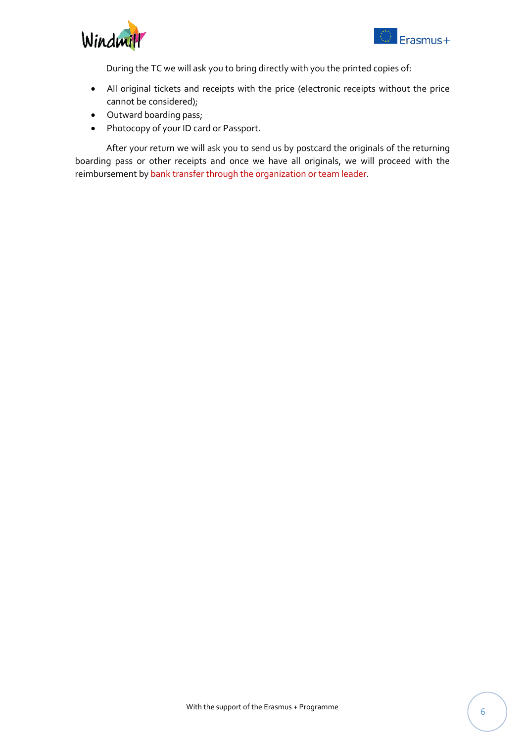



During the TC we will ask you to bring directly with you the printed copies of:

- All original tickets and receipts with the price (electronic receipts without the price cannot be considered);
- Outward boarding pass;
- Photocopy of your ID card or Passport.

After your return we will ask you to send us by postcard the originals of the returning boarding pass or other receipts and once we have all originals, we will proceed with the reimbursement by bank transfer through the organization or team leader.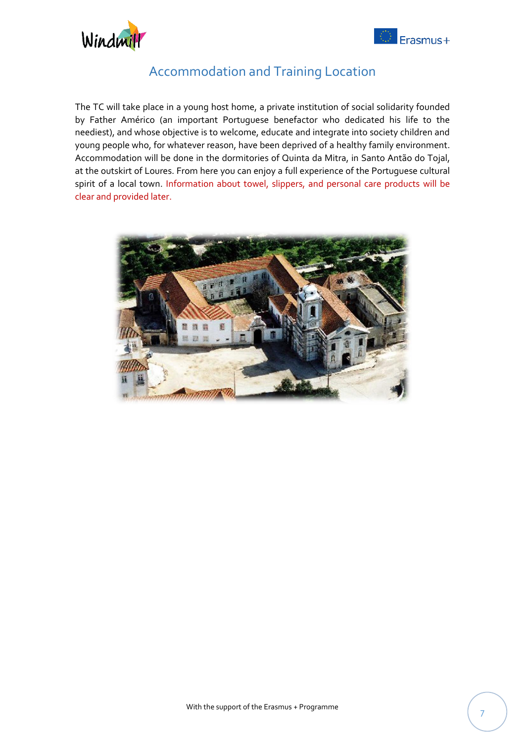



## Accommodation and Training Location

<span id="page-6-0"></span>The TC will take place in a young host home, a private institution of social solidarity founded by Father Américo (an important Portuguese benefactor who dedicated his life to the neediest), and whose objective is to welcome, educate and integrate into society children and young people who, for whatever reason, have been deprived of a healthy family environment. Accommodation will be done in the dormitories of Quinta da Mitra, in Santo Antão do Tojal, at the outskirt of Loures. From here you can enjoy a full experience of the Portuguese cultural spirit of a local town. Information about towel, slippers, and personal care products will be clear and provided later.

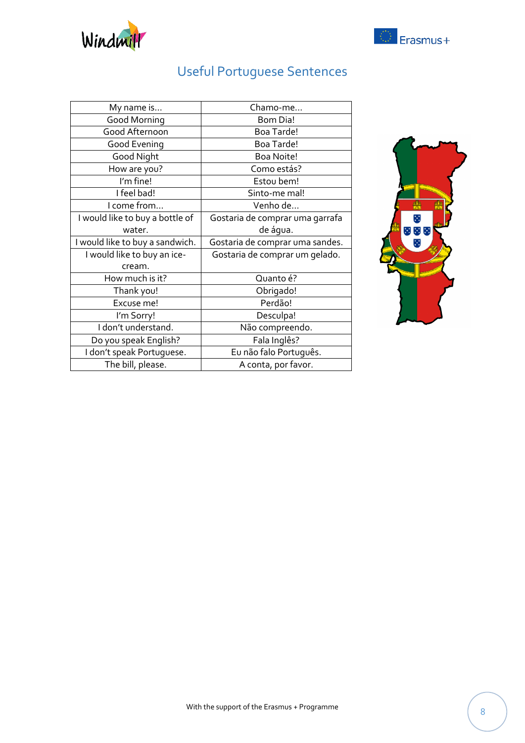

Useful Portuguese Sentences

<span id="page-7-0"></span>

| My name is                      | Chamo-me                        |
|---------------------------------|---------------------------------|
| Good Morning                    | <b>Bom Dia!</b>                 |
| Good Afternoon                  | Boa Tarde!                      |
| Good Evening                    | Boa Tarde!                      |
| Good Night                      | <b>Boa Noite!</b>               |
| How are you?                    | Como estás?                     |
| I'm fine!                       | Estou bem!                      |
| I feel bad!                     | Sinto-me mal!                   |
| I come from                     | Venho de                        |
| I would like to buy a bottle of | Gostaria de comprar uma garrafa |
| water.                          | de água.                        |
|                                 |                                 |
| I would like to buy a sandwich. | Gostaria de comprar uma sandes. |
| I would like to buy an ice-     | Gostaria de comprar um gelado.  |
| cream.                          |                                 |
| How much is it?                 | Quanto é?                       |
| Thank you!                      | Obrigado!                       |
| Excuse me!                      | Perdão!                         |
| I'm Sorry!                      | Desculpa!                       |
| I don't understand.             | Não compreendo.                 |
| Do you speak English?           | Fala Inglês?                    |
| I don't speak Portuguese.       | Eu não falo Português.          |



C Erasmus+